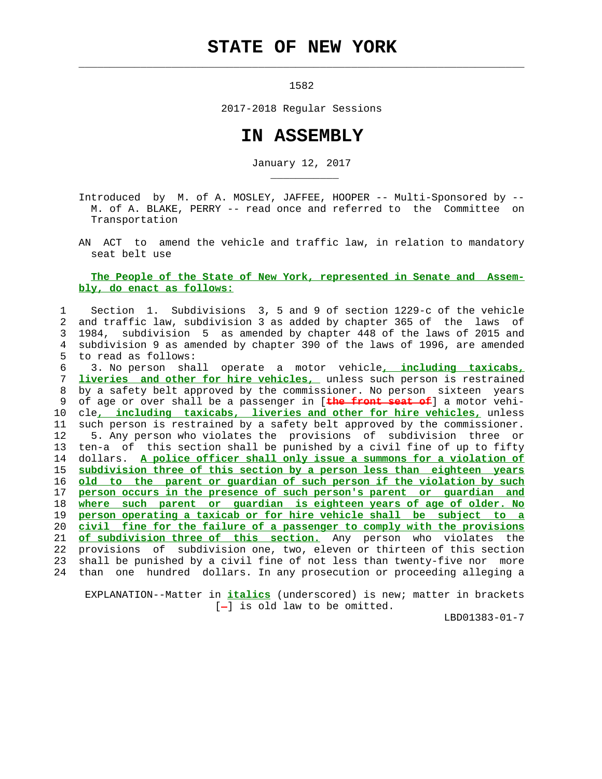## **STATE OF NEW YORK**

 $\mathcal{L}_\text{max} = \frac{1}{2} \sum_{i=1}^{n} \frac{1}{2} \sum_{i=1}^{n} \frac{1}{2} \sum_{i=1}^{n} \frac{1}{2} \sum_{i=1}^{n} \frac{1}{2} \sum_{i=1}^{n} \frac{1}{2} \sum_{i=1}^{n} \frac{1}{2} \sum_{i=1}^{n} \frac{1}{2} \sum_{i=1}^{n} \frac{1}{2} \sum_{i=1}^{n} \frac{1}{2} \sum_{i=1}^{n} \frac{1}{2} \sum_{i=1}^{n} \frac{1}{2} \sum_{i=1}^{n} \frac{1$ 

\_\_\_\_\_\_\_\_\_\_\_

1582

2017-2018 Regular Sessions

## **IN ASSEMBLY**

January 12, 2017

 Introduced by M. of A. MOSLEY, JAFFEE, HOOPER -- Multi-Sponsored by -- M. of A. BLAKE, PERRY -- read once and referred to the Committee on Transportation

 AN ACT to amend the vehicle and traffic law, in relation to mandatory seat belt use

## **The People of the State of New York, represented in Senate and Assem bly, do enact as follows:**

 1 Section 1. Subdivisions 3, 5 and 9 of section 1229-c of the vehicle 2 and traffic law, subdivision 3 as added by chapter 365 of the laws of 3 1984, subdivision 5 as amended by chapter 448 of the laws of 2015 and 4 subdivision 9 as amended by chapter 390 of the laws of 1996, are amended 5 to read as follows:

 6 3. No person shall operate a motor vehicle**, including taxicabs,** 7 **liveries and other for hire vehicles,** unless such person is restrained 8 by a safety belt approved by the commissioner. No person sixteen years 9 of age or over shall be a passenger in [**the front seat of**] a motor vehi- 10 cle**, including taxicabs, liveries and other for hire vehicles,** unless 11 such person is restrained by a safety belt approved by the commissioner. 12 5. Any person who violates the provisions of subdivision three or 13 ten-a of this section shall be punished by a civil fine of up to fifty 14 dollars. **A police officer shall only issue a summons for a violation of** 15 **subdivision three of this section by a person less than eighteen years** 16 **old to the parent or guardian of such person if the violation by such** 17 **person occurs in the presence of such person's parent or guardian and** 18 **where such parent or guardian is eighteen years of age of older. No** 19 **person operating a taxicab or for hire vehicle shall be subject to a** 20 **civil fine for the failure of a passenger to comply with the provisions** 21 **of subdivision three of this section.** Any person who violates the 22 provisions of subdivision one, two, eleven or thirteen of this section 23 shall be punished by a civil fine of not less than twenty-five nor more 24 than one hundred dollars. In any prosecution or proceeding alleging a

 EXPLANATION--Matter in **italics** (underscored) is new; matter in brackets  $[-]$  is old law to be omitted.

LBD01383-01-7